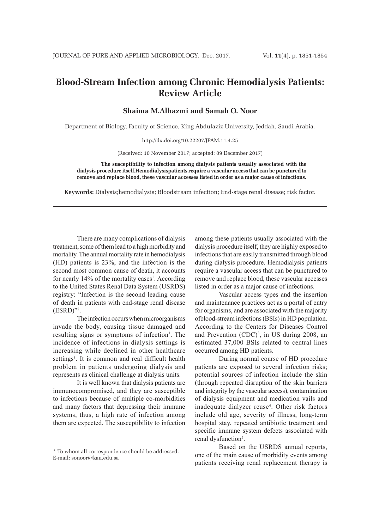## **Blood-Stream Infection among Chronic Hemodialysis Patients: Review Article**

**Shaima M.Alhazmi and Samah O. Noor**

Department of Biology, Faculty of Science, King Abdulaziz University, Jeddah, Saudi Arabia.

http://dx.doi.org/10.22207/JPAM.11.4.25

(Received: 10 November 2017; accepted: 09 December 2017)

**The susceptibility to infection among dialysis patients usually associated with the dialysis procedure itself.Hemodialysispatients require a vascular access that can be punctured to remove and replace blood, these vascular accesses listed in order as a major cause of infections.**

**Keywords:** Dialysis;hemodialysis; Bloodstream infection; End-stage renal disease; risk factor.

There are many complications of dialysis treatment, some of them lead to a high morbidity and mortality. The annual mortality rate in hemodialysis (HD) patients is 23%, and the infection is the second most common cause of death, it accounts for nearly 14% of the mortality cases<sup>1</sup>. According to the United States Renal Data System (USRDS) registry: "Infection is the second leading cause of death in patients with end-stage renal disease  $(ESRD)$ "<sup>2</sup>.

The infection occurs when microorganisms invade the body, causing tissue damaged and resulting signs or symptoms of infection<sup>1</sup>. The incidence of infections in dialysis settings is increasing while declined in other healthcare settings<sup>3</sup>. It is common and real difficult health problem in patients undergoing dialysis and represents as clinical challenge at dialysis units.

It is well known that dialysis patients are immunocompromised, and they are susceptible to infections because of multiple co-morbidities and many factors that depressing their immune systems, thus, a high rate of infection among them are expected. The susceptibility to infection among these patients usually associated with the dialysis procedure itself, they are highly exposed to infections that are easily transmitted through blood during dialysis procedure. Hemodialysis patients require a vascular access that can be punctured to remove and replace blood, these vascular accesses listed in order as a major cause of infections.

Vascular access types and the insertion and maintenance practices act as a portal of entry for organisms, and are associated with the majority ofblood-stream infections (BSIs) in HD population. According to the Centers for Diseases Control and Prevention (CDC)<sup>3</sup>, in US during 2008, an estimated 37,000 BSIs related to central lines occurred among HD patients.

During normal course of HD procedure patients are exposed to several infection risks; potential sources of infection include the skin (through repeated disruption of the skin barriers and integrity by the vascular access), contamination of dialysis equipment and medication vails and inadequate dialyzer reuse<sup>4</sup>. Other risk factors include old age, severity of illness, long-term hospital stay, repeated antibiotic treatment and specific immune system defects associated with renal dysfunction<sup>5</sup>.

Based on the USRDS annual reports, one of the main cause of morbidity events among patients receiving renal replacement therapy is

<sup>\*</sup> To whom all correspondence should be addressed. E-mail: sonoor@kau.edu.sa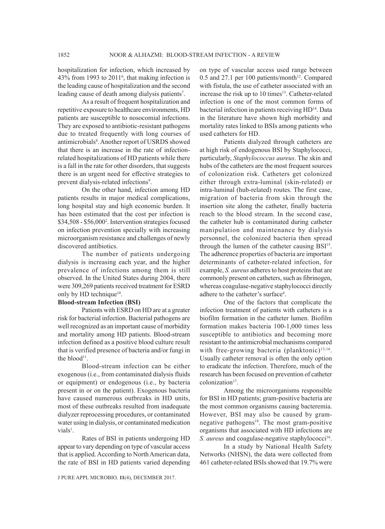hospitalization for infection, which increased by  $43\%$  from 1993 to  $2011<sup>6</sup>$ , that making infection is the leading cause of hospitalization and the second leading cause of death among dialysis patients<sup>7</sup>.

As a result of frequent hospitalization and repetitive exposure to healthcare environments, HD patients are susceptible to nosocomial infections. They are exposed to antibiotic-resistant pathogens due to treated frequently with long courses of antimicrobials<sup>8</sup>. Another report of USRDS showed that there is an increase in the rate of infectionrelated hospitalizations of HD patients while there is a fall in the rate for other disorders, that suggests there is an urgent need for effective strategies to prevent dialysis-related infections<sup>9</sup>.

On the other hand, infection among HD patients results in major medical complications, long hospital stay and high economic burden. It has been estimated that the cost per infection is \$34,508 - \$56,0002 . Intervention strategies focused on infection prevention specially with increasing microorganism resistance and challenges of newly discovered antibiotics.

The number of patients undergoing dialysis is increasing each year, and the higher prevalence of infections among them is still observed. In the United States during 2004, there were 309,269 patients received treatment for ESRD only by HD technique<sup>10</sup>.

## **Blood-stream Infection (BSI)**

Patients with ESRD on HD are at a greater risk for bacterial infection. Bacterial pathogens are well recognized as an important cause of morbidity and mortality among HD patients. Blood-stream infection defined as a positive blood culture result that is verified presence of bacteria and/or fungi in the blood<sup>11</sup>.

Blood-stream infection can be either exogenous (i.e., from contaminated dialysis fluids or equipment) or endogenous (i.e., by bacteria present in or on the patient). Exogenous bacteria have caused numerous outbreaks in HD units, most of these outbreaks resulted from inadequate dialyzer reprocessing procedures, or contaminated water using in dialysis, or contaminated medication vials<sup>1</sup>.

Rates of BSI in patients undergoing HD appear to vary depending on type of vascular access that is applied. According to North American data, the rate of BSI in HD patients varied depending

J PURE APPL MICROBIO*,* **11**(4), DECEMBER 2017.

on type of vascular access used range between  $0.5$  and  $27.1$  per 100 patients/month<sup>12</sup>. Compared with fistula, the use of catheter associated with an increase the risk up to  $10 \text{ times}^{13}$ . Catheter-related infection is one of the most common forms of bacterial infection in patients receiving HD<sup>14</sup>. Data in the literature have shown high morbidity and mortality rates linked to BSIs among patients who used catheters for HD.

Patients dialyzed through catheters are at high risk of endogenous BSI by Staphylococci, particularly, *Staphylococcus aureus*. The skin and hubs of the catheters are the most frequent sources of colonization risk. Catheters get colonized either through extra-luminal (skin-related) or intra-luminal (hub-related) routes. The first case, migration of bacteria from skin through the insertion site along the catheter, finally bacteria reach to the blood stream. In the second case, the catheter hub is contaminated during catheter manipulation and maintenance by dialysis personnel, the colonized bacteria then spread through the lumen of the catheter causing BSI<sup>15</sup>. The adherence properties of bacteria are important determinants of catheter-related infection, for example, *S. aureus* adheres to host proteins that are commonly present on catheters, such as fibrinogen, whereas coagulase-negative staphylococci directly adhere to the catheter's surface4 .

One of the factors that complicate the infection treatment of patients with catheters is a biofilm formation in the catheter lumen. Biofilm formation makes bacteria 100-1,000 times less susceptible to antibiotics and becoming more resistant to the antimicrobial mechanisms compared with free-growing bacteria (planktonic) $13,16$ . Usually catheter removal is often the only option to eradicate the infection. Therefore, much of the research has been focused on prevention of catheter colonization<sup>17</sup>.

Among the microorganisms responsible for BSI in HD patients; gram-positive bacteria are the most common organisms causing bacteremia. However, BSI may also be caused by gramnegative pathogens<sup>18</sup>. The most gram-positive organisms that associated with HD infections are *S. aureus* and coagulase-negative staphylococci<sup>16</sup>.

In a study by National Health Safety Networks (NHSN), the data were collected from 461 catheter-related BSIs showed that 19.7% were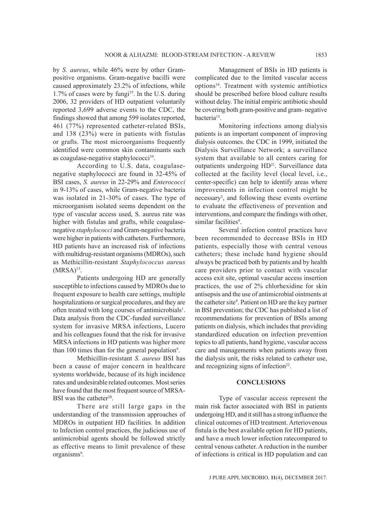by *S. aureus*, while 46% were by other Grampositive organisms. Gram-negative bacilli were caused approximately 23.2% of infections, while 1.7% of cases were by fungi<sup>19</sup>. In the U.S. during 2006, 32 providers of HD outpatient voluntarily reported 3,699 adverse events to the CDC, the findings showed that among 599 isolates reported, 461 (77%) represented catheter-related BSIs, and 138 (23%) were in patients with fistulas or grafts. The most microorganisms frequently identified were common skin contaminants such as coagulase-negative staphylococci<sup>10</sup>.

According to U.S. data, coagulasenegative staphylococci are found in 32-45% of BSI cases, *S. aureus* in 22-29% and *Enterococci* in 9-13% of cases, while Gram-negative bacteria was isolated in 21-30% of cases. The type of microorganism isolated seems dependent on the type of vascular access used, S. aureus rate was higher with fistulas and grafts, while coagulasenegative *staphylococci* and Gram-negative bacteria were higher in patients with catheters. Furthermore, HD patients have an increased risk of infections with multidrug-resistant organisms (MDROs), such as Methicillin-resistant *Staphylococcus aureus*   $(MRSA)<sup>13</sup>$ .

Patients undergoing HD are generally susceptible to infections caused by MDROs due to frequent exposure to health care settings, multiple hospitalizations or surgical procedures, and they are often treated with long courses of antimicrobials<sup>1</sup>. Data analysis from the CDC-funded surveillance system for invasive MRSA infections, Lucero and his colleagues found that the risk for invasive MRSA infections in HD patients was higher more than 100 times than for the general population<sup>9</sup>.

Methicillin-resistant *S. aureus* BSI has been a cause of major concern in healthcare systems worldwide, because of its high incidence rates and undesirable related outcomes. Most series have found that the most frequent source of MRSA-BSI was the catheter<sup>20</sup>.

There are still large gaps in the understanding of the transmission approaches of MDROs in outpatient HD facilities. In addition to Infection control practices, the judicious use of antimicrobial agents should be followed strictly as effective means to limit prevalence of these organisms<sup>9</sup>.

Management of BSIs in HD patients is complicated due to the limited vascular access options<sup>16</sup>. Treatment with systemic antibiotics should be prescribed before blood culture results without delay. The initial empiric antibiotic should be covering both gram-positive and gram- negative bacteria<sup>13</sup>.

Monitoring infections among dialysis patients is an important component of improving dialysis outcomes. the CDC in 1999, initiated the Dialysis Surveillance Network; a surveillance system that available to all centers caring for outpatients undergoing HD<sup>21</sup>. Surveillance data collected at the facility level (local level, i.e., center-specific) can help to identify areas where improvements in infection control might be necessary2 , and following these events overtime to evaluate the effectiveness of prevention and interventions, and compare the findings with other, similar facilities<sup>9</sup>.

Several infection control practices have been recommended to decrease BSIs in HD patients, especially those with central venous catheters; these include hand hygiene should always be practiced both by patients and by health care providers prior to contact with vascular access exit site, optimal vascular access insertion practices, the use of 2% chlorhexidine for skin antisepsis and the use of antimicrobial ointments at the catheter site<sup>4</sup>. Patient on HD are the key partner in BSI prevention; the CDC has published a list of recommendations for prevention of BSIs among patients on dialysis, which includes that providing standardized education on infection prevention topics to all patients, hand hygiene, vascular access care and managements when patients away from the dialysis unit, the risks related to catheter use, and recognizing signs of infection<sup>22</sup>.

## **CONCLUSIONS**

Type of vascular access represent the main risk factor associated with BSI in patients undergoing HD, and it still has a strong influence the clinical outcomes of HD treatment. Arteriovenous fistula is the best available option for HD patients, and have a much lower infection ratecompared to central venous catheter. A reduction in the number of infections is critical in HD population and can